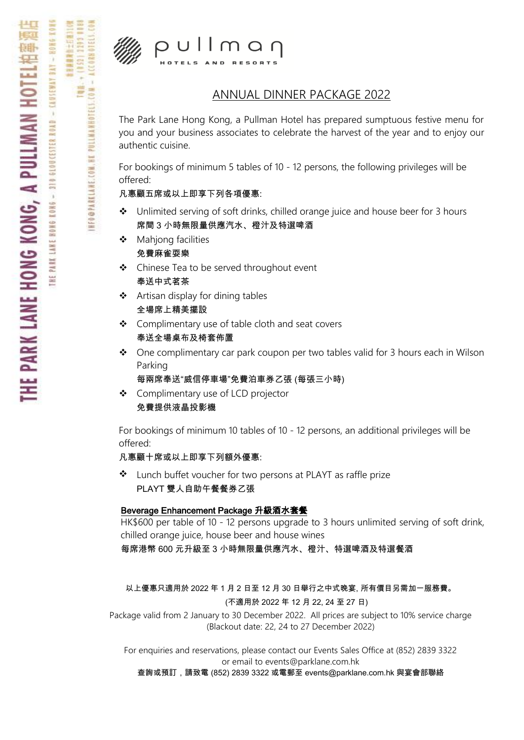

PULLMAMHOTELS.COM - ACCORMOTELS.

INFO@PARKLANE.COM.NE

4 (152) 2193

 $p$ ullman **HOTELS** 

### ANNUAL DINNER PACKAGE 2022

The Park Lane Hong Kong, a Pullman Hotel has prepared sumptuous festive menu for you and your business associates to celebrate the harvest of the year and to enjoy our authentic cuisine.

For bookings of minimum 5 tables of 10 - 12 persons, the following privileges will be offered:

凡惠顧五席或以上即享下列各項優惠:

- $\div$  Unlimited serving of soft drinks, chilled orange juice and house beer for 3 hours 席間 3 小時無限量供應汽水、橙汁及特選啤酒
- ◆ Mahjong facilities 免費麻雀耍樂
- ❖ Chinese Tea to be served throughout event 奉送中式茗茶
- Artisan display for dining tables 全場席上精美擺設
- Complimentary use of table cloth and seat covers 奉送全場桌布及椅套佈置
- $\bullet$  One complimentary car park coupon per two tables valid for 3 hours each in Wilson Parking

```
每兩席奉送"威信停車場"免費泊車券乙張 (每張三小時)
```
 Complimentary use of LCD projector 免費提供液晶投影機

For bookings of minimum 10 tables of 10 - 12 persons, an additional privileges will be offered:

凡惠顧十席或以上即享下列額外優惠:

 Lunch buffet voucher for two persons at PLAYT as raffle prize PLAYT 雙人自助午餐餐券乙張

#### Beverage Enhancement Package 升級酒水套餐

HK\$600 per table of 10 - 12 persons upgrade to 3 hours unlimited serving of soft drink, chilled orange juice, house beer and house wines 每席港幣 600 元升級至 3 小時無限量供應汽水、橙汁、特選啤酒及特選餐酒

以上優惠只適用於 2022 年 1 月 2 日至 12 月 30 日舉行之中式晚宴, 所有價目另需加一服務費。 (不適用於 2022 年 12 月 22, 24 至 27 日)

Package valid from 2 January to 30 December 2022. All prices are subject to 10% service charge (Blackout date: 22, 24 to 27 December 2022)

For enquiries and reservations, please contact our Events Sales Office at (852) 2839 3322 or email to events@parklane.com.hk

查詢或預訂,請致電 (852) 2839 3322 或電郵至 events@parklane.com.hk 與宴會部聯絡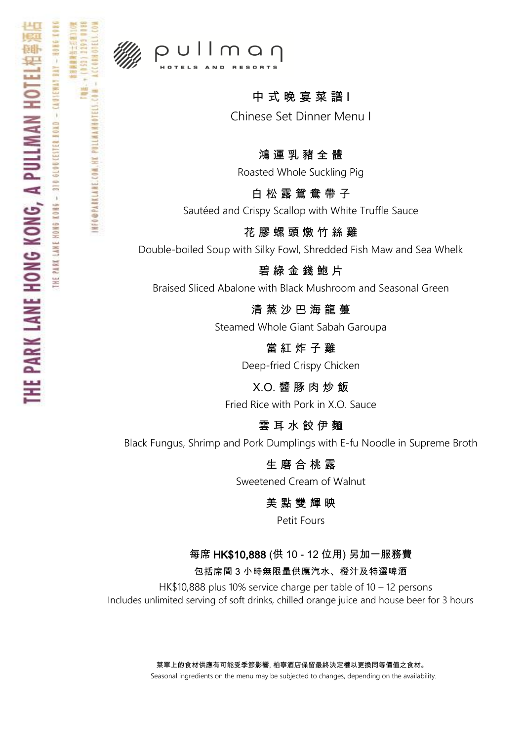

**HEOGPARKLANE.COM. HK PULLMANHOTELS.** 

## $p$ ullman

## 中 式 晚 宴 菜 譜 I

Chinese Set Dinner Menu I

#### 鴻 運 乳 豬 全 體

Roasted Whole Suckling Pig

### 白 松 露 鴛 鴦 帶 子

Sautéed and Crispy Scallop with White Truffle Sauce

#### 花 膠 螺 頭 燉 竹 絲 雞

Double-boiled Soup with Silky Fowl, Shredded Fish Maw and Sea Whelk

#### 碧 綠 金 錢 鮑 片

Braised Sliced Abalone with Black Mushroom and Seasonal Green

清 蒸 沙 巴 海 龍 躉

Steamed Whole Giant Sabah Garoupa

當 紅 炸 子 雞

Deep-fried Crispy Chicken

X.O. 醬 豚 肉 炒 飯 Fried Rice with Pork in X.O. Sauce

### 雲 耳 水 餃 伊 麵

Black Fungus, Shrimp and Pork Dumplings with E-fu Noodle in Supreme Broth

#### 生 磨 合 桃 露

Sweetened Cream of Walnut

#### 美 點 雙 輝 映

Petit Fours

#### 每席 HK\$10,888 (供 10 - 12 位用) 另加一服務費

包括席間 3 小時無限量供應汽水、橙汁及特選啤酒

HK\$10,888 plus 10% service charge per table of 10 – 12 persons Includes unlimited serving of soft drinks, chilled orange juice and house beer for 3 hours

> 菜單上的食材供應有可能受季節影響, 柏寧酒店保留最終決定權以更換同等價值之食材。 Seasonal ingredients on the menu may be subjected to changes, depending on the availability.

**CAUSEMAY BAY**